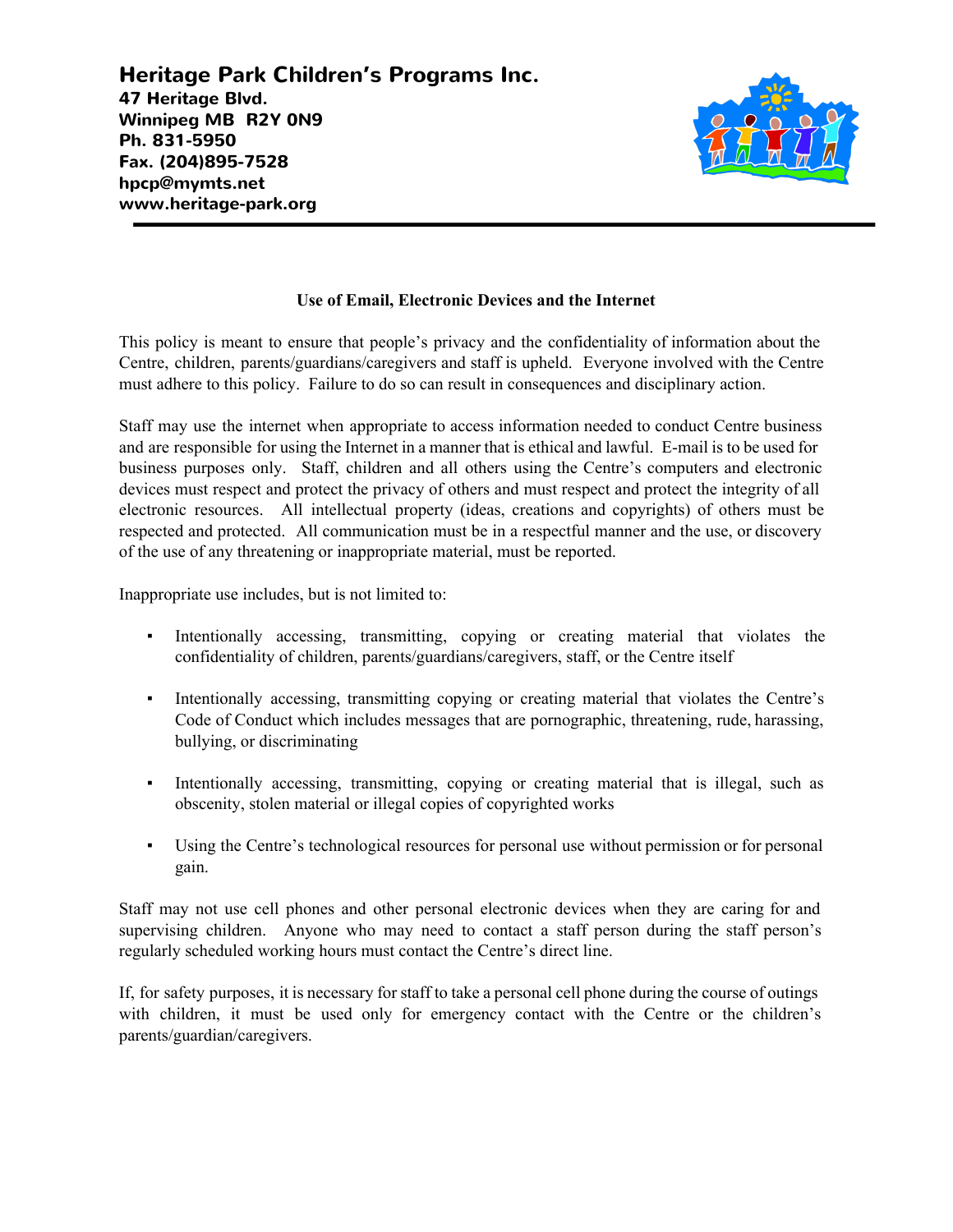**Heritage Park Children's Programs Inc. 47 Heritage Blvd. Winnipeg MB R2Y 0N9 Ph. 831-5950 Fax. (204)895-7528 hpcp@mymts.net www.heritage-park.org**



## **Use of Email, Electronic Devices and the Internet**

This policy is meant to ensure that people's privacy and the confidentiality of information about the Centre, children, parents/guardians/caregivers and staff is upheld. Everyone involved with the Centre must adhere to this policy. Failure to do so can result in consequences and disciplinary action.

Staff may use the internet when appropriate to access information needed to conduct Centre business and are responsible for using the Internet in a manner that is ethical and lawful. E-mail is to be used for business purposes only. Staff, children and all others using the Centre's computers and electronic devices must respect and protect the privacy of others and must respect and protect the integrity of all electronic resources. All intellectual property (ideas, creations and copyrights) of others must be respected and protected. All communication must be in a respectful manner and the use, or discovery of the use of any threatening or inappropriate material, must be reported.

Inappropriate use includes, but is not limited to:

- Intentionally accessing, transmitting, copying or creating material that violates the confidentiality of children, parents/guardians/caregivers, staff, or the Centre itself
- Intentionally accessing, transmitting copying or creating material that violates the Centre's Code of Conduct which includes messages that are pornographic, threatening, rude, harassing, bullying, or discriminating
- Intentionally accessing, transmitting, copying or creating material that is illegal, such as obscenity, stolen material or illegal copies of copyrighted works
- Using the Centre's technological resources for personal use without permission or for personal gain.

Staff may not use cell phones and other personal electronic devices when they are caring for and supervising children. Anyone who may need to contact a staff person during the staff person's regularly scheduled working hours must contact the Centre's direct line.

If, for safety purposes, it is necessary for staff to take a personal cell phone during the course of outings with children, it must be used only for emergency contact with the Centre or the children's parents/guardian/caregivers.